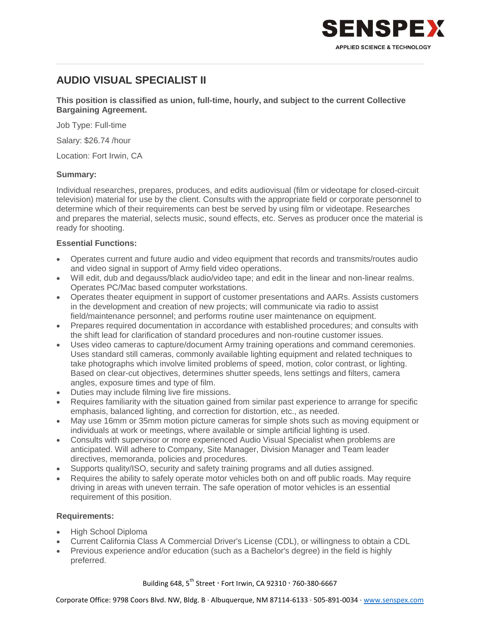

# **AUDIO VISUAL SPECIALIST II**

**This position is classified as union, full-time, hourly, and subject to the current Collective Bargaining Agreement.**

Job Type: Full-time

Salary: \$26.74 /hour

Location: Fort Irwin, CA

## **Summary:**

Individual researches, prepares, produces, and edits audiovisual (film or videotape for closed-circuit television) material for use by the client. Consults with the appropriate field or corporate personnel to determine which of their requirements can best be served by using film or videotape. Researches and prepares the material, selects music, sound effects, etc. Serves as producer once the material is ready for shooting.

### **Essential Functions:**

- Operates current and future audio and video equipment that records and transmits/routes audio and video signal in support of Army field video operations.
- Will edit, dub and degauss/black audio/video tape; and edit in the linear and non-linear realms. Operates PC/Mac based computer workstations.
- Operates theater equipment in support of customer presentations and AARs. Assists customers in the development and creation of new projects; will communicate via radio to assist field/maintenance personnel; and performs routine user maintenance on equipment.
- Prepares required documentation in accordance with established procedures; and consults with the shift lead for clarification of standard procedures and non-routine customer issues.
- Uses video cameras to capture/document Army training operations and command ceremonies. Uses standard still cameras, commonly available lighting equipment and related techniques to take photographs which involve limited problems of speed, motion, color contrast, or lighting. Based on clear-cut objectives, determines shutter speeds, lens settings and filters, camera angles, exposure times and type of film.
- Duties may include filming live fire missions.
- Requires familiarity with the situation gained from similar past experience to arrange for specific emphasis, balanced lighting, and correction for distortion, etc., as needed.
- May use 16mm or 35mm motion picture cameras for simple shots such as moving equipment or individuals at work or meetings, where available or simple artificial lighting is used.
- Consults with supervisor or more experienced Audio Visual Specialist when problems are anticipated. Will adhere to Company, Site Manager, Division Manager and Team leader directives, memoranda, policies and procedures.
- Supports quality/ISO, security and safety training programs and all duties assigned.
- Requires the ability to safely operate motor vehicles both on and off public roads. May require driving in areas with uneven terrain. The safe operation of motor vehicles is an essential requirement of this position.

#### **Requirements:**

- High School Diploma
- Current California Class A Commercial Driver's License (CDL), or willingness to obtain a CDL
- Previous experience and/or education (such as a Bachelor's degree) in the field is highly preferred.